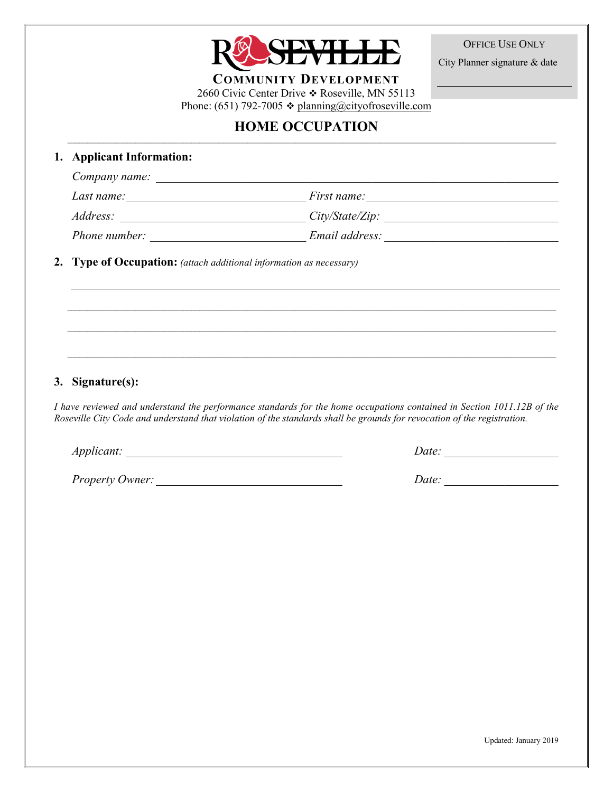

OFFICE USE ONLY

City Planner signature & date

**COMMUNITY DEVELOPMENT**

2660 Civic Center Drive  $\div$  Roseville, MN 55113 Phone: (651) 792-7005  $\div$  planning@cityofroseville.com

## **HOME OCCUPATION**

| 1. Applicant Information: |                    |
|---------------------------|--------------------|
| Company name:             |                    |
| Last name:                | First name:        |
| <i>Address:</i>           | $City/State/Zip$ : |
| Phone number:             | Email address:     |

**2. Type of Occupation:** *(attach additional information as necessary)*

## **3. Signature(s):**

*I have reviewed and understand the performance standards for the home occupations contained in Section 1011.12B of the Roseville City Code and understand that violation of the standards shall be grounds for revocation of the registration.* 

\_\_\_\_\_\_\_\_\_\_\_\_\_\_\_\_\_\_\_\_\_\_\_\_\_\_\_\_\_\_\_\_\_\_\_\_\_\_\_\_\_\_\_\_\_\_\_\_\_\_\_\_\_\_\_\_\_\_\_\_\_\_\_\_\_\_\_\_\_\_\_\_\_\_\_\_\_\_\_\_\_\_\_\_\_\_\_\_\_\_\_\_\_\_\_\_\_\_\_\_\_\_\_\_\_\_\_\_\_\_\_\_\_\_\_\_\_\_\_\_\_\_

*Applicant: \_\_\_\_\_\_\_\_\_\_\_\_\_\_\_\_\_\_\_\_\_\_\_\_\_\_\_\_\_\_\_\_\_\_\_\_ Date: \_\_\_\_\_\_\_\_\_\_\_\_\_\_\_\_\_\_\_*

*Property Owner: Date: Date: Date: Date: <i>Date: Date: Property Owner:*  $\frac{1}{2}$